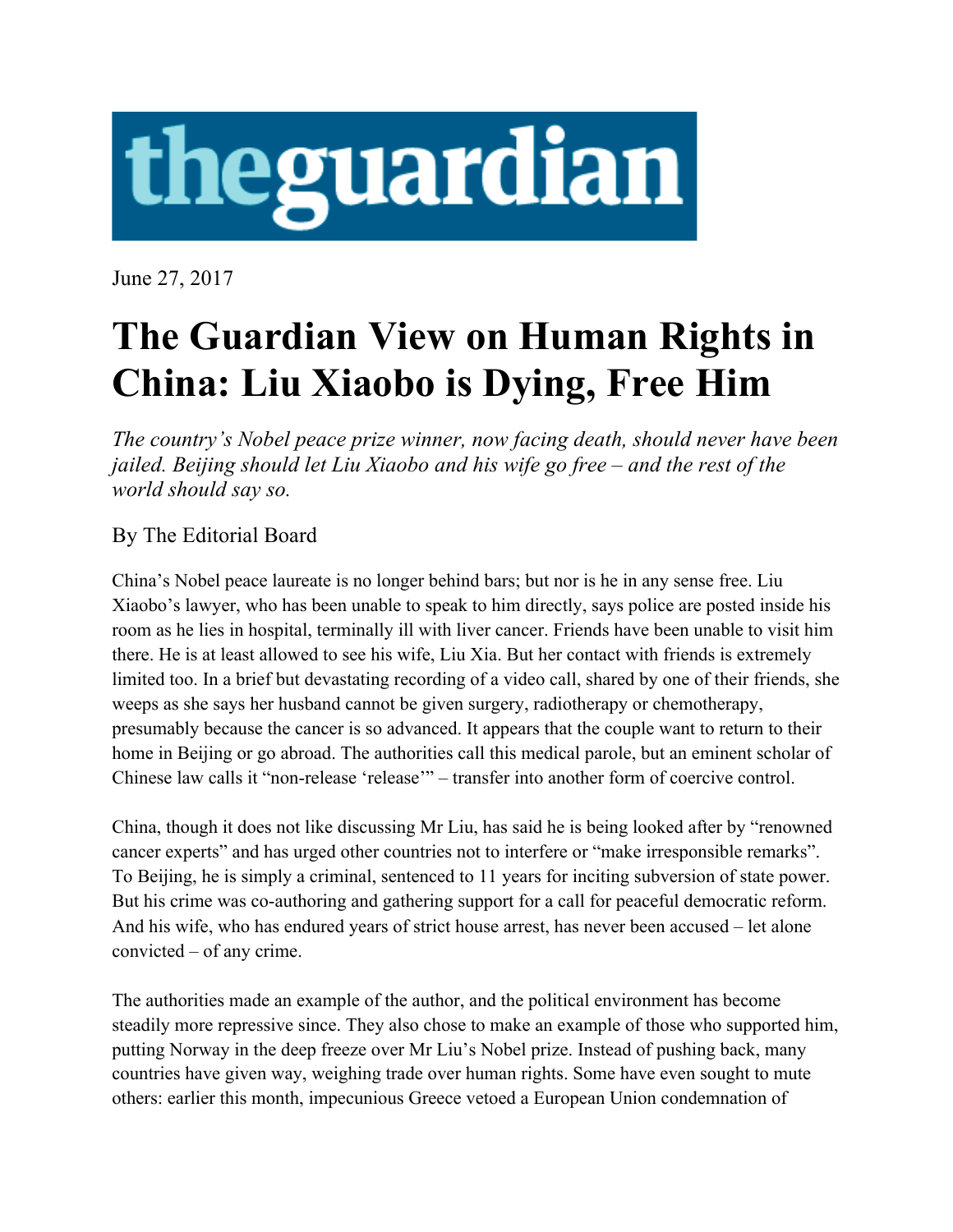

June 27, 2017

## **The Guardian View on Human Rights in China: Liu Xiaobo is Dying, Free Him**

*The country's Nobel peace prize winner, now facing death, should never have been jailed. Beijing should let Liu Xiaobo and his wife go free – and the rest of the world should say so.*

## By The Editorial Board

China's Nobel peace laureate is no longer behind bars; but nor is he in any sense free. Liu Xiaobo's lawyer, who has been unable to speak to him directly, says police are posted inside his room as he lies in hospital, terminally ill with liver cancer. Friends have been unable to visit him there. He is at least allowed to see his wife, Liu Xia. But her contact with friends is extremely limited too. In a brief but devastating recording of a video call, shared by one of their friends, she weeps as she says her husband cannot be given surgery, radiotherapy or chemotherapy, presumably because the cancer is so advanced. It appears that the couple want to return to their home in Beijing or go abroad. The authorities call this medical parole, but an eminent scholar of Chinese law calls it "non-release 'release'" – transfer into another form of coercive control.

China, though it does not like discussing Mr Liu, has said he is being looked after by "renowned cancer experts" and has urged other countries not to interfere or "make irresponsible remarks". To Beijing, he is simply a criminal, sentenced to 11 years for inciting subversion of state power. But his crime was co-authoring and gathering support for a call for peaceful democratic reform. And his wife, who has endured years of strict house arrest, has never been accused – let alone convicted – of any crime.

The authorities made an example of the author, and the political environment has become steadily more repressive since. They also chose to make an example of those who supported him, putting Norway in the deep freeze over Mr Liu's Nobel prize. Instead of pushing back, many countries have given way, weighing trade over human rights. Some have even sought to mute others: earlier this month, impecunious Greece vetoed a European Union condemnation of